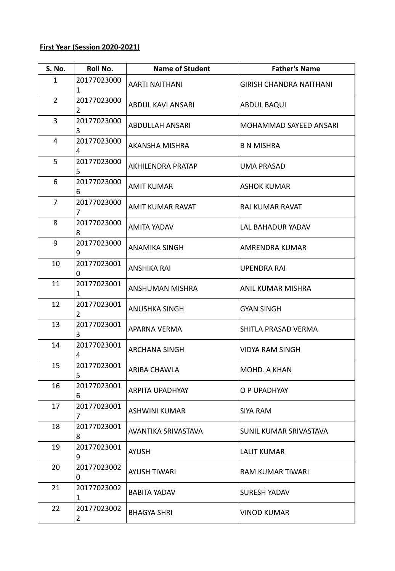## **First Year (Session 2020-2021)**

| <b>S. No.</b>  | Roll No.                      | <b>Name of Student</b> | <b>Father's Name</b>           |
|----------------|-------------------------------|------------------------|--------------------------------|
| 1              | 20177023000<br>1              | AARTI NAITHANI         | <b>GIRISH CHANDRA NAITHANI</b> |
| $\overline{2}$ | 20177023000<br>$\overline{2}$ | ABDUL KAVI ANSARI      | ABDUL BAQUI                    |
| 3              | 20177023000<br>3              | <b>ABDULLAH ANSARI</b> | MOHAMMAD SAYEED ANSARI         |
| 4              | 20177023000<br>4              | AKANSHA MISHRA         | <b>B N MISHRA</b>              |
| 5              | 20177023000<br>5              | AKHILENDRA PRATAP      | UMA PRASAD                     |
| 6              | 20177023000<br>6              | <b>AMIT KUMAR</b>      | ASHOK KUMAR                    |
| 7              | 20177023000<br>7              | AMIT KUMAR RAVAT       | RAJ KUMAR RAVAT                |
| 8              | 20177023000<br>8              | AMITA YADAV            | LAL BAHADUR YADAV              |
| 9              | 20177023000<br>9              | ANAMIKA SINGH          | AMRENDRA KUMAR                 |
| 10             | 20177023001<br>0              | ANSHIKA RAI            | UPENDRA RAI                    |
| 11             | 20177023001<br>1              | ANSHUMAN MISHRA        | ANIL KUMAR MISHRA              |
| 12             | 20177023001<br>$\overline{2}$ | ANUSHKA SINGH          | <b>GYAN SINGH</b>              |
| 13             | 20177023001<br>3              | APARNA VERMA           | SHITLA PRASAD VERMA            |
| 14             | 20177023001<br>4              | ARCHANA SINGH          | VIDYA RAM SINGH                |
| 15             | 20177023001<br>5              | ARIBA CHAWLA           | MOHD. A KHAN                   |
| 16             | 20177023001<br>6              | <b>ARPITA UPADHYAY</b> | O P UPADHYAY                   |
| 17             | 20177023001<br>7              | ASHWINI KUMAR          | SIYA RAM                       |
| 18             | 20177023001<br>8              | AVANTIKA SRIVASTAVA    | SUNIL KUMAR SRIVASTAVA         |
| 19             | 20177023001<br>9              | AYUSH                  | <b>LALIT KUMAR</b>             |
| 20             | 20177023002<br>0              | AYUSH TIWARI           | RAM KUMAR TIWARI               |
| 21             | 20177023002<br>1              | <b>BABITA YADAV</b>    | <b>SURESH YADAV</b>            |
| 22             | 20177023002<br>$\overline{2}$ | <b>BHAGYA SHRI</b>     | VINOD KUMAR                    |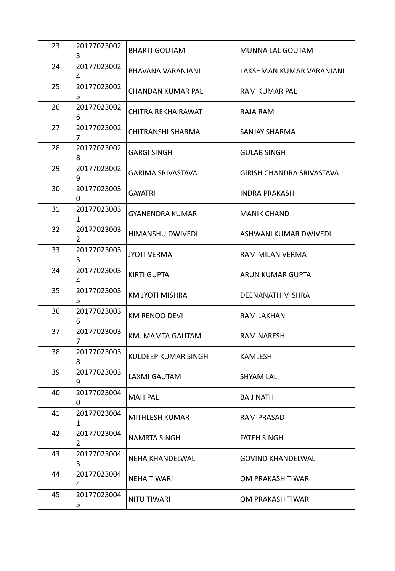| 23 | 20177023002<br>3            | <b>BHARTI GOUTAM</b> | MUNNA LAL GOUTAM          |
|----|-----------------------------|----------------------|---------------------------|
| 24 | 20177023002<br>4            | BHAVANA VARANJANI    | LAKSHMAN KUMAR VARANJANI  |
| 25 | 20177023002<br>5            | CHANDAN KUMAR PAL    | RAM KUMAR PAL             |
| 26 | 20177023002<br>6            | CHITRA REKHA RAWAT   | RAJA RAM                  |
| 27 | 20177023002<br>7            | CHITRANSHI SHARMA    | SANJAY SHARMA             |
| 28 | 20177023002<br>8            | <b>GARGI SINGH</b>   | <b>GULAB SINGH</b>        |
| 29 | 20177023002<br>9            | GARIMA SRIVASTAVA    | GIRISH CHANDRA SRIVASTAVA |
| 30 | 20177023003<br>0            | <b>GAYATRI</b>       | INDRA PRAKASH             |
| 31 | 20177023003<br>1            | GYANENDRA KUMAR      | <b>MANIK CHAND</b>        |
| 32 | 20177023003<br>2            | HIMANSHU DWIVEDI     | ASHWANI KUMAR DWIVEDI     |
| 33 | 20177023003<br>3            | <b>JYOTI VERMA</b>   | RAM MILAN VERMA           |
| 34 | 20177023003<br>4            | <b>KIRTI GUPTA</b>   | ARUN KUMAR GUPTA          |
| 35 | 20177023003<br>5            | KM JYOTI MISHRA      | DEENANATH MISHRA          |
| 36 | 20177023003<br>6            | KM RENOO DEVI        | RAM LAKHAN                |
| 37 | 20177023003<br>7            | KM. MAMTA GAUTAM     | RAM NARESH                |
| 38 | 20177023003<br>8            | KULDEEP KUMAR SINGH  | KAMLESH                   |
| 39 | 20177023003<br>9            | LAXMI GAUTAM         | SHYAM LAL                 |
| 40 | 20177023004<br>0            | <b>MAHIPAL</b>       | <b>BAIJ NATH</b>          |
| 41 | 20177023004<br>$\mathbf{1}$ | MITHLESH KUMAR       | RAM PRASAD                |
| 42 | 20177023004<br>2            | NAMRTA SINGH         | <b>FATEH SINGH</b>        |
| 43 | 20177023004<br>3            | NEHA KHANDELWAL      | <b>GOVIND KHANDELWAL</b>  |
| 44 | 20177023004<br>4            | NEHA TIWARI          | OM PRAKASH TIWARI         |
| 45 | 20177023004<br>5            | NITU TIWARI          | OM PRAKASH TIWARI         |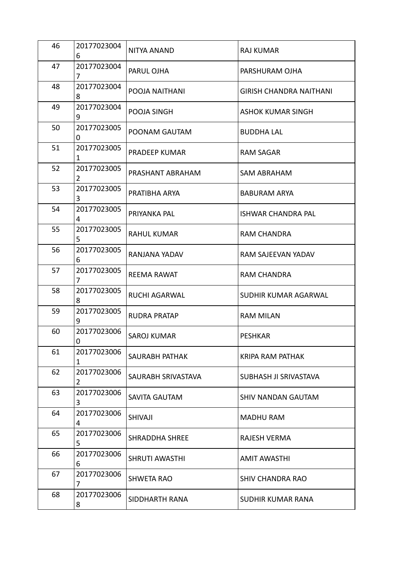| 46 | 20177023004<br>6 | NITYA ANAND           | RAJ KUMAR               |
|----|------------------|-----------------------|-------------------------|
| 47 | 20177023004<br>7 | PARUL OJHA            | PARSHURAM OJHA          |
| 48 | 20177023004<br>8 | POOJA NAITHANI        | GIRISH CHANDRA NAITHANI |
| 49 | 20177023004<br>9 | POOJA SINGH           | ASHOK KUMAR SINGH       |
| 50 | 20177023005<br>0 | POONAM GAUTAM         | <b>BUDDHA LAL</b>       |
| 51 | 20177023005<br>1 | PRADEEP KUMAR         | <b>RAM SAGAR</b>        |
| 52 | 20177023005<br>2 | PRASHANT ABRAHAM      | SAM ABRAHAM             |
| 53 | 20177023005<br>3 | PRATIBHA ARYA         | <b>BABURAM ARYA</b>     |
| 54 | 20177023005<br>4 | PRIYANKA PAL          | ISHWAR CHANDRA PAL      |
| 55 | 20177023005<br>5 | <b>RAHUL KUMAR</b>    | RAM CHANDRA             |
| 56 | 20177023005<br>6 | RANJANA YADAV         | RAM SAJEEVAN YADAV      |
| 57 | 20177023005<br>7 | <b>REEMA RAWAT</b>    | RAM CHANDRA             |
| 58 | 20177023005<br>8 | <b>RUCHI AGARWAL</b>  | SUDHIR KUMAR AGARWAL    |
| 59 | 20177023005<br>9 | <b>RUDRA PRATAP</b>   | <b>RAM MILAN</b>        |
| 60 | 20177023006<br>0 | SAROJ KUMAR           | <b>PESHKAR</b>          |
| 61 | 20177023006<br>1 | SAURABH PATHAK        | KRIPA RAM PATHAK        |
| 62 | 20177023006<br>2 | SAURABH SRIVASTAVA    | SUBHASH JI SRIVASTAVA   |
| 63 | 20177023006<br>3 | SAVITA GAUTAM         | SHIV NANDAN GAUTAM      |
| 64 | 20177023006<br>4 | SHIVAJI               | MADHU RAM               |
| 65 | 20177023006<br>5 | <b>SHRADDHA SHREE</b> | RAJESH VERMA            |
| 66 | 20177023006<br>6 | SHRUTI AWASTHI        | AMIT AWASTHI            |
| 67 | 20177023006<br>7 | <b>SHWETA RAO</b>     | SHIV CHANDRA RAO        |
| 68 | 20177023006<br>8 | SIDDHARTH RANA        | SUDHIR KUMAR RANA       |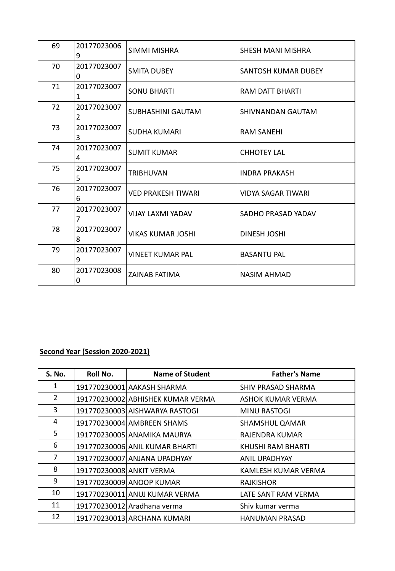| 69 | 20177023006<br>9 | SIMMI MISHRA              | SHESH MANI MISHRA         |
|----|------------------|---------------------------|---------------------------|
| 70 | 20177023007<br>0 | <b>SMITA DUBEY</b>        | SANTOSH KUMAR DUBEY       |
| 71 | 20177023007<br>1 | <b>SONU BHARTI</b>        | RAM DATT BHARTI           |
| 72 | 20177023007<br>2 | SUBHASHINI GAUTAM         | SHIVNANDAN GAUTAM         |
| 73 | 20177023007<br>3 | <b>SUDHA KUMARI</b>       | <b>RAM SANEHI</b>         |
| 74 | 20177023007<br>4 | <b>SUMIT KUMAR</b>        | <b>CHHOTEY LAL</b>        |
| 75 | 20177023007<br>5 | <b>TRIBHUVAN</b>          | <b>INDRA PRAKASH</b>      |
| 76 | 20177023007<br>6 | <b>VED PRAKESH TIWARI</b> | <b>VIDYA SAGAR TIWARI</b> |
| 77 | 20177023007<br>7 | <b>VIJAY LAXMI YADAV</b>  | SADHO PRASAD YADAV        |
| 78 | 20177023007<br>8 | VIKAS KUMAR JOSHI         | <b>DINESH JOSHI</b>       |
| 79 | 20177023007<br>9 | <b>VINEET KUMAR PAL</b>   | <b>BASANTU PAL</b>        |
| 80 | 20177023008<br>0 | ZAINAB FATIMA             | <b>NASIM AHMAD</b>        |

## **Second Year (Session 2020-2021)**

| <b>S. No.</b> | Roll No.                 | Name of Student                   | <b>Father's Name</b> |
|---------------|--------------------------|-----------------------------------|----------------------|
| 1             |                          | 191770230001 AAKASH SHARMA        | SHIV PRASAD SHARMA   |
| 2             |                          | 191770230002 ABHISHEK KUMAR VERMA | ASHOK KUMAR VERMA    |
| 3             |                          | 191770230003 AISHWARYA RASTOGI    | MINU RASTOGI         |
| 4             |                          | 191770230004 AMBREEN SHAMS        | SHAMSHUL QAMAR       |
| 5             |                          | 191770230005 ANAMIKA MAURYA       | RAJENDRA KUMAR       |
| 6             |                          | 191770230006 ANIL KUMAR BHARTI    | KHUSHI RAM BHARTI    |
| 7             |                          | 191770230007 ANJANA UPADHYAY      | <b>ANIL UPADHYAY</b> |
| 8             | 191770230008 ANKIT VERMA |                                   | KAMLESH KUMAR VERMA  |
| 9             |                          | 191770230009 ANOOP KUMAR          | <b>RAJKISHOR</b>     |
| 10            |                          | 191770230011 ANUJ KUMAR VERMA     | LATE SANT RAM VERMA  |
| 11            |                          | 191770230012 Aradhana verma       | Shiv kumar verma     |
| 12            |                          | 191770230013 ARCHANA KUMARI       | HANUMAN PRASAD       |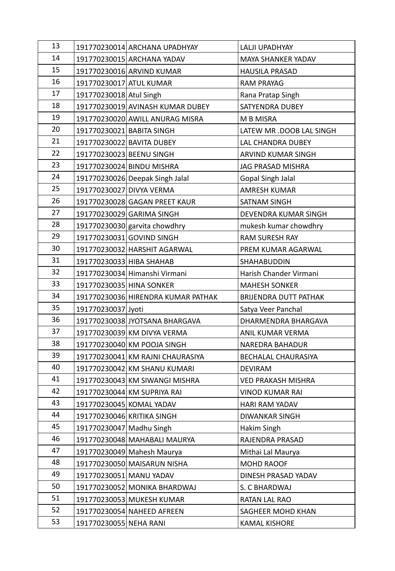| 13 |                           | 191770230014 ARCHANA UPADHYAY      | LALJI UPADHYAY               |
|----|---------------------------|------------------------------------|------------------------------|
| 14 |                           | 191770230015 ARCHANA YADAV         | MAYA SHANKER YADAV           |
| 15 |                           | 191770230016 ARVIND KUMAR          | <b>HAUSILA PRASAD</b>        |
| 16 | 191770230017 ATUL KUMAR   |                                    | <b>RAM PRAYAG</b>            |
| 17 | 191770230018 Atul Singh   |                                    | Rana Pratap Singh            |
| 18 |                           | 191770230019 AVINASH KUMAR DUBEY   | SATYENDRA DUBEY              |
| 19 |                           | 191770230020 AWILL ANURAG MISRA    | M B MISRA                    |
| 20 | 191770230021 BABITA SINGH |                                    | LATEW MR .DOOB LAL SINGH     |
| 21 |                           | 191770230022 BAVITA DUBEY          | LAL CHANDRA DUBEY            |
| 22 | 191770230023 BEENU SINGH  |                                    | ARVIND KUMAR SINGH           |
| 23 |                           | 191770230024 BINDU MISHRA          | JAG PRASAD MISHRA            |
| 24 |                           | 191770230026 Deepak Singh Jalal    | Gopal Singh Jalal            |
| 25 | 191770230027 DIVYA VERMA  |                                    | <b>AMRESH KUMAR</b>          |
| 26 |                           | 191770230028 GAGAN PREET KAUR      | SATNAM SINGH                 |
| 27 |                           | 191770230029 GARIMA SINGH          | DEVENDRA KUMAR SINGH         |
| 28 |                           | 191770230030 garvita chowdhry      | mukesh kumar chowdhry        |
| 29 |                           | 191770230031 GOVIND SINGH          | RAM SURESH RAY               |
| 30 |                           | 191770230032 HARSHIT AGARWAL       | PREM KUMAR AGARWAL           |
| 31 | 191770230033 HIBA SHAHAB  |                                    | SHAHABUDDIN                  |
| 32 |                           | 191770230034 Himanshi Virmani      | Harish Chander Virmani       |
| 33 | 191770230035 HINA SONKER  |                                    | <b>MAHESH SONKER</b>         |
| 34 |                           | 191770230036 HIRENDRA KUMAR PATHAK | <b>BRIJENDRA DUTT PATHAK</b> |
| 35 | 191770230037 Jyoti        |                                    | Satya Veer Panchal           |
| 36 |                           | 191770230038 JYOTSANA BHARGAVA     | DHARMENDRA BHARGAVA          |
| 37 |                           | 191770230039 KM DIVYA VERMA        | ANIL KUMAR VERMA             |
| 38 |                           | 191770230040 KM POOJA SINGH        | NAREDRA BAHADUR              |
| 39 |                           | 191770230041 KM RAJNI CHAURASIYA   | BECHALAL CHAURASIYA          |
| 40 |                           | 191770230042 KM SHANU KUMARI       | <b>DEVIRAM</b>               |
| 41 |                           | 191770230043 KM SIWANGI MISHRA     | <b>VED PRAKASH MISHRA</b>    |
| 42 |                           | 191770230044 KM SUPRIYA RAI        | <b>VINOD KUMAR RAI</b>       |
| 43 |                           | 191770230045 KOMAL YADAV           | HARI RAM YADAV               |
| 44 |                           | 191770230046 KRITIKA SINGH         | DIWANKAR SINGH               |
| 45 | 191770230047 Madhu Singh  |                                    | Hakim Singh                  |
| 46 |                           | 191770230048 MAHABALI MAURYA       | RAJENDRA PRASAD              |
| 47 |                           | 191770230049 Mahesh Maurya         | Mithai Lal Maurya            |
| 48 |                           | 191770230050 MAISARUN NISHA        | MOHD RAOOF                   |
| 49 | 191770230051 MANU YADAV   |                                    | DINESH PRASAD YADAV          |
| 50 |                           | 191770230052 MONIKA BHARDWAJ       | S. C BHARDWAJ                |
| 51 |                           | 191770230053 MUKESH KUMAR          | RATAN LAL RAO                |
| 52 |                           | 191770230054 NAHEED AFREEN         | SAGHEER MOHD KHAN            |
| 53 | 191770230055 NEHA RANI    |                                    | <b>KAMAL KISHORE</b>         |